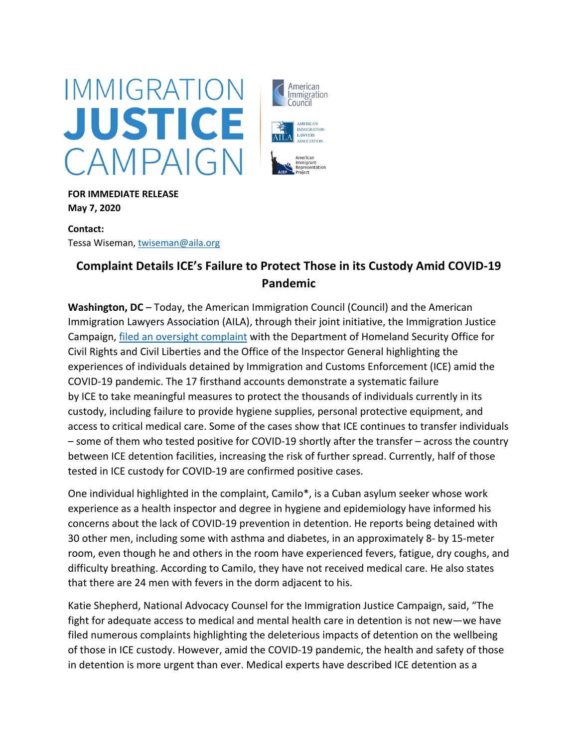

**FOR IMMEDIATE RELEASE May 7, 2020**

**Contact:**  Tessa Wiseman, twiseman@aila.org

## **Complaint Details ICE's Failure to Protect Those in its Custody Amid COVID-19 Pandemic**

American *Immigration* Council

> **AMERICAN** MMIGRATION LAWYERS ASSOCIATION

American Immigrant<br>Representation

**Washington, DC** – Today, the American Immigration Council (Council) and the American Immigration Lawyers Association (AILA), through their joint initiative, the Immigration Justice Campaign, filed an oversight complaint with the Department of Homeland Security Office for Civil Rights and Civil Liberties and the Office of the Inspector General highlighting the experiences of individuals detained by Immigration and Customs Enforcement (ICE) amid the COVID-19 pandemic. The 17 firsthand accounts demonstrate a systematic failure by ICE to take meaningful measures to protect the thousands of individuals currently in its custody, including failure to provide hygiene supplies, personal protective equipment, and access to critical medical care. Some of the cases show that ICE continues to transfer individuals – some of them who tested positive for COVID-19 shortly after the transfer – across the country between ICE detention facilities, increasing the risk of further spread. Currently, half of those tested in ICE custody for COVID-19 are confirmed positive cases.

One individual highlighted in the complaint, Camilo\*, is a Cuban asylum seeker whose work experience as a health inspector and degree in hygiene and epidemiology have informed his concerns about the lack of COVID-19 prevention in detention. He reports being detained with 30 other men, including some with asthma and diabetes, in an approximately 8- by 15-meter room, even though he and others in the room have experienced fevers, fatigue, dry coughs, and difficulty breathing. According to Camilo, they have not received medical care. He also states that there are 24 men with fevers in the dorm adjacent to his.

Katie Shepherd, National Advocacy Counsel for the Immigration Justice Campaign, said, "The fight for adequate access to medical and mental health care in detention is not new—we have filed numerous complaints highlighting the deleterious impacts of detention on the wellbeing of those in ICE custody. However, amid the COVID-19 pandemic, the health and safety of those in detention is more urgent than ever. Medical experts have described ICE detention as a